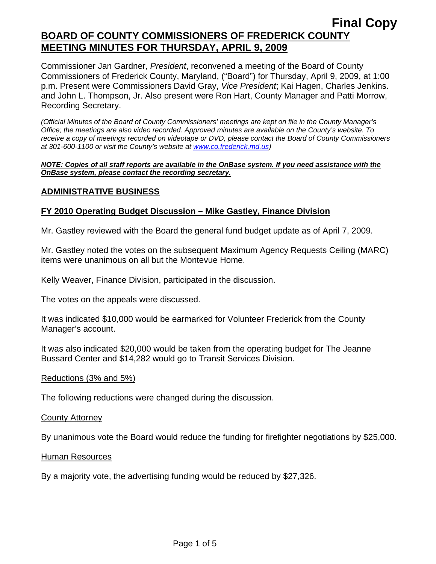Commissioner Jan Gardner, *President*, reconvened a meeting of the Board of County Commissioners of Frederick County, Maryland, ("Board") for Thursday, April 9, 2009, at 1:00 p.m. Present were Commissioners David Gray, *Vice President*; Kai Hagen, Charles Jenkins. and John L. Thompson, Jr. Also present were Ron Hart, County Manager and Patti Morrow, Recording Secretary.

*(Official Minutes of the Board of County Commissioners' meetings are kept on file in the County Manager's Office; the meetings are also video recorded. Approved minutes are available on the County's website. To receive a copy of meetings recorded on videotape or DVD, please contact the Board of County Commissioners at 301-600-1100 or visit the County's website at [www.co.frederick.md.us\)](http://www.co.frederick.md.us/)* 

#### *NOTE: Copies of all staff reports are available in the OnBase system. If you need assistance with the OnBase system, please contact the recording secretary.*

### **ADMINISTRATIVE BUSINESS**

### **FY 2010 Operating Budget Discussion – Mike Gastley, Finance Division**

Mr. Gastley reviewed with the Board the general fund budget update as of April 7, 2009.

Mr. Gastley noted the votes on the subsequent Maximum Agency Requests Ceiling (MARC) items were unanimous on all but the Montevue Home.

Kelly Weaver, Finance Division, participated in the discussion.

The votes on the appeals were discussed.

It was indicated \$10,000 would be earmarked for Volunteer Frederick from the County Manager's account.

It was also indicated \$20,000 would be taken from the operating budget for The Jeanne Bussard Center and \$14,282 would go to Transit Services Division.

#### Reductions (3% and 5%)

The following reductions were changed during the discussion.

#### County Attorney

By unanimous vote the Board would reduce the funding for firefighter negotiations by \$25,000.

#### Human Resources

By a majority vote, the advertising funding would be reduced by \$27,326.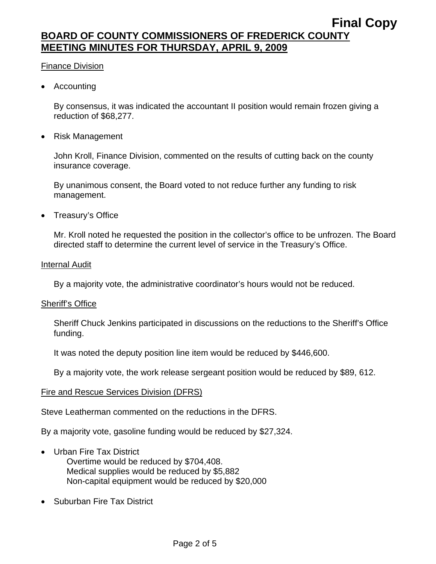#### Finance Division

• Accounting

By consensus, it was indicated the accountant II position would remain frozen giving a reduction of \$68,277.

• Risk Management

John Kroll, Finance Division, commented on the results of cutting back on the county insurance coverage.

By unanimous consent, the Board voted to not reduce further any funding to risk management.

• Treasury's Office

Mr. Kroll noted he requested the position in the collector's office to be unfrozen. The Board directed staff to determine the current level of service in the Treasury's Office.

#### **Internal Audit**

By a majority vote, the administrative coordinator's hours would not be reduced.

#### Sheriff's Office

Sheriff Chuck Jenkins participated in discussions on the reductions to the Sheriff's Office funding.

It was noted the deputy position line item would be reduced by \$446,600.

By a majority vote, the work release sergeant position would be reduced by \$89, 612.

#### Fire and Rescue Services Division (DFRS)

Steve Leatherman commented on the reductions in the DFRS.

By a majority vote, gasoline funding would be reduced by \$27,324.

- Urban Fire Tax District
	- Overtime would be reduced by \$704,408. Medical supplies would be reduced by \$5,882 Non-capital equipment would be reduced by \$20,000
- Suburban Fire Tax District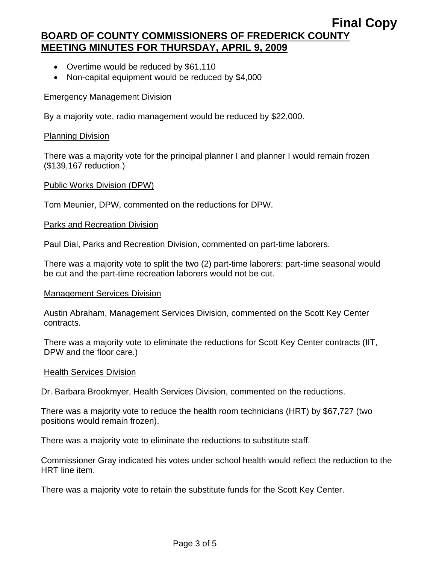- Overtime would be reduced by \$61,110
- Non-capital equipment would be reduced by \$4,000

#### Emergency Management Division

By a majority vote, radio management would be reduced by \$22,000.

#### Planning Division

There was a majority vote for the principal planner I and planner I would remain frozen (\$139,167 reduction.)

#### Public Works Division (DPW)

Tom Meunier, DPW, commented on the reductions for DPW.

#### Parks and Recreation Division

Paul Dial, Parks and Recreation Division, commented on part-time laborers.

There was a majority vote to split the two (2) part-time laborers: part-time seasonal would be cut and the part-time recreation laborers would not be cut.

#### Management Services Division

Austin Abraham, Management Services Division, commented on the Scott Key Center contracts.

There was a majority vote to eliminate the reductions for Scott Key Center contracts (IIT, DPW and the floor care.)

#### **Health Services Division**

Dr. Barbara Brookmyer, Health Services Division, commented on the reductions.

There was a majority vote to reduce the health room technicians (HRT) by \$67,727 (two positions would remain frozen).

There was a majority vote to eliminate the reductions to substitute staff.

Commissioner Gray indicated his votes under school health would reflect the reduction to the HRT line item.

There was a majority vote to retain the substitute funds for the Scott Key Center.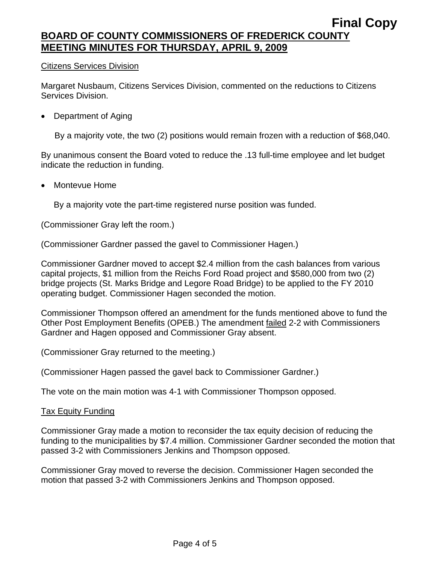#### Citizens Services Division

Margaret Nusbaum, Citizens Services Division, commented on the reductions to Citizens Services Division.

• Department of Aging

By a majority vote, the two (2) positions would remain frozen with a reduction of \$68,040.

By unanimous consent the Board voted to reduce the .13 full-time employee and let budget indicate the reduction in funding.

• Montevue Home

By a majority vote the part-time registered nurse position was funded.

(Commissioner Gray left the room.)

(Commissioner Gardner passed the gavel to Commissioner Hagen.)

Commissioner Gardner moved to accept \$2.4 million from the cash balances from various capital projects, \$1 million from the Reichs Ford Road project and \$580,000 from two (2) bridge projects (St. Marks Bridge and Legore Road Bridge) to be applied to the FY 2010 operating budget. Commissioner Hagen seconded the motion.

Commissioner Thompson offered an amendment for the funds mentioned above to fund the Other Post Employment Benefits (OPEB.) The amendment **failed 2-2 with Commissioners** Gardner and Hagen opposed and Commissioner Gray absent.

(Commissioner Gray returned to the meeting.)

(Commissioner Hagen passed the gavel back to Commissioner Gardner.)

The vote on the main motion was 4-1 with Commissioner Thompson opposed.

#### Tax Equity Funding

Commissioner Gray made a motion to reconsider the tax equity decision of reducing the funding to the municipalities by \$7.4 million. Commissioner Gardner seconded the motion that passed 3-2 with Commissioners Jenkins and Thompson opposed.

Commissioner Gray moved to reverse the decision. Commissioner Hagen seconded the motion that passed 3-2 with Commissioners Jenkins and Thompson opposed.